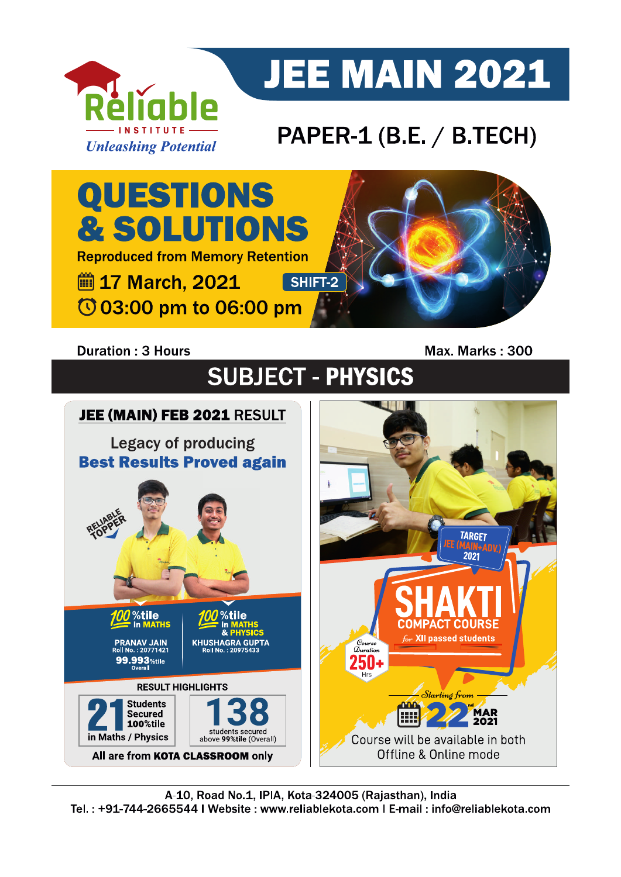

# **JEE MAIN 2021**

## PAPER-1 (B.E. / B.TECH)

QUESTIONS **& SOLUTIONS Reproduced from Memory Retention ■ 17 March, 2021** SHIFT-2 © 03:00 pm to 06:00 pm

#### **Duration: 3 Hours**

Max. Marks: 300

**SUBJECT - PHYSICS** 

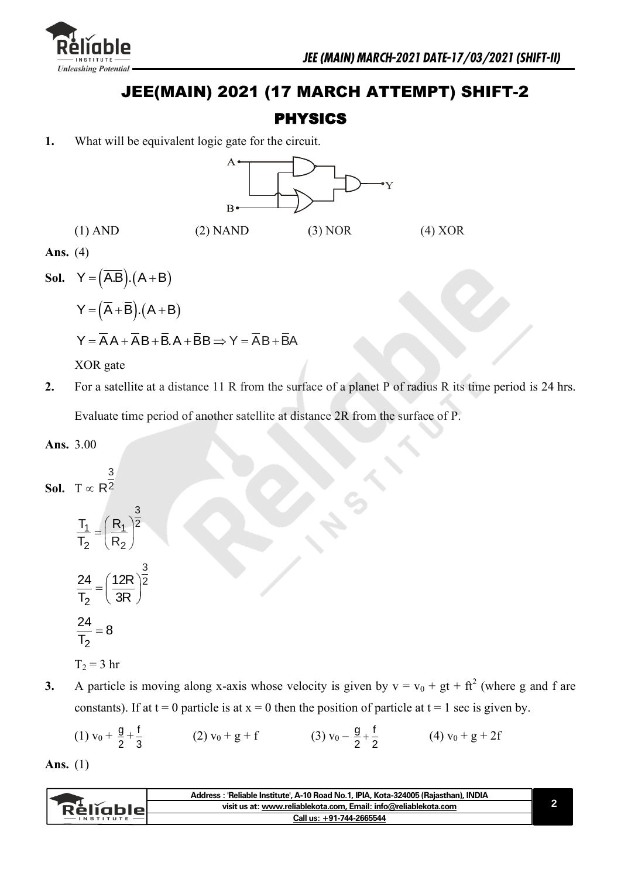

### JEE(MAIN) 2021 (17 MARCH ATTEMPT) SHIFT-2

#### PHYSICS

**1.** What will be equivalent logic gate for the circuit.



**Sol.**  $Y = (\overline{AB}) \cdot (A + B)$ 

$$
Y=\left(\overline{A}+\overline{B}\right)\!.\left(A+B\right)
$$

$$
Y = \overline{A}A + \overline{A}B + \overline{B}.A + \overline{B}B \Rightarrow Y = \overline{A}B + \overline{B}A
$$

XOR gate

**2.** For a satellite at a distance 11 R from the surface of a planet P of radius R its time period is 24 hrs. Evaluate time period of another satellite at distance 2R from the surface of P.

**Ans.** 3.00

**Sol.** 
$$
T \propto R^{\frac{3}{2}}
$$

$$
\frac{T_1}{T_2} = \left(\frac{R_1}{R_2}\right)^{\frac{3}{2}}
$$

$$
\frac{24}{T_2} = \left(\frac{12R}{3R}\right)^{\frac{3}{2}}
$$

$$
\frac{24}{T_2} = 8
$$

$$
T_2 = 3 \text{ hr}
$$

**3.** A particle is moving along x-axis whose velocity is given by  $v = v_0 + gt + ft^2$  (where g and f are constants). If at  $t = 0$  particle is at  $x = 0$  then the position of particle at  $t = 1$  sec is given by.

(1) 
$$
v_0 + \frac{g}{2} + \frac{f}{3}
$$
 (2)  $v_0 + g + f$  (3)  $v_0 - \frac{g}{2} + \frac{f}{2}$  (4)  $v_0 + g + 2f$ 

**Ans.** (1)

|                              | Address: 'Reliable Institute', A-10 Road No.1, IPIA, Kota-324005 (Rajasthan), INDIA |  |
|------------------------------|-------------------------------------------------------------------------------------|--|
| Réliable<br><b>INSTITUTE</b> | visit us at: www.reliablekota.com, Email: info@reliablekota.com                     |  |
|                              | Call us: +91-744-2665544                                                            |  |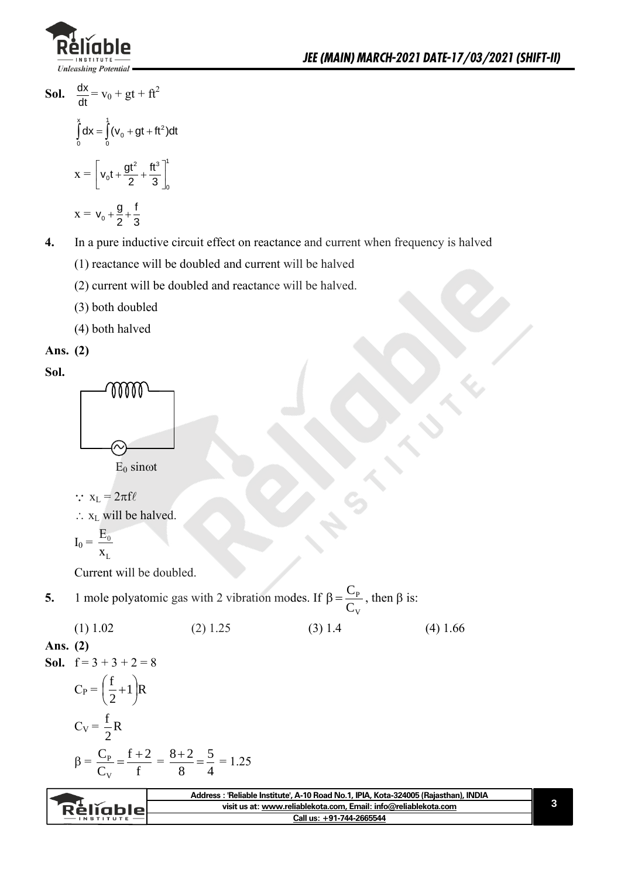

- Sol.  $\frac{dx}{dt}$  $\frac{dx}{dt} = v_0 + gt + ft^2$  $\int_{0}^{x} dx = \int_{0}^{1} (v_0 + gt + ft^2) dt$  $x =$ 2  $\text{H}^{3}$ <sup>1</sup> 0 0  $\left[ v_0 t + \frac{gt^2}{2} + \frac{ft^3}{3} \right]_0^1$
- $x = v_0$  $v_0 + \frac{g}{2} + \frac{f}{3}$
- **4.** In a pure inductive circuit effect on reactance and current when frequency is halved
	- (1) reactance will be doubled and current will be halved
	- (2) current will be doubled and reactance will be halved.
	- (3) both doubled
	- (4) both halved

Ans. 
$$
(2)
$$

**Sol.**



 $E_0$  sin $\omega t$ 

- $\therefore$   $x_L = 2\pi f \ell$
- $\therefore$  x<sub>L</sub> will be halved.

$$
I_0=\,\frac{E_0}{x_{_L}}
$$

Current will be doubled.

- **5.** 1 mole polyatomic gas with 2 vibration modes. If V P  $\mathcal{C}$  $\beta = \frac{C_P}{C}$ , then  $\beta$  is:
	- (1)  $1.02$  (2)  $1.25$  (3)  $1.4$  (4)  $1.66$

#### **Ans. (2)**

**Sol.** 
$$
f=3+3+2=8
$$

$$
C_{P} = \left(\frac{f}{2} + 1\right)R
$$
  
\n
$$
C_{V} = \frac{f}{2}R
$$
  
\n
$$
\beta = \frac{C_{P}}{C_{V}} = \frac{f + 2}{f} = \frac{8 + 2}{8} = \frac{5}{4} = 1.25
$$

| Rèliable<br>$-$ INSTITUTE | · 'Reliable Institute', A-10 Road No.1, IPIA, Kota-324005 (Rajasthan), INDIA<br>Address : |  |
|---------------------------|-------------------------------------------------------------------------------------------|--|
|                           | visit us at: www.reliablekota.com. Email: info@reliablekota.com                           |  |
|                           | Call us: +91-744-2665544                                                                  |  |
|                           |                                                                                           |  |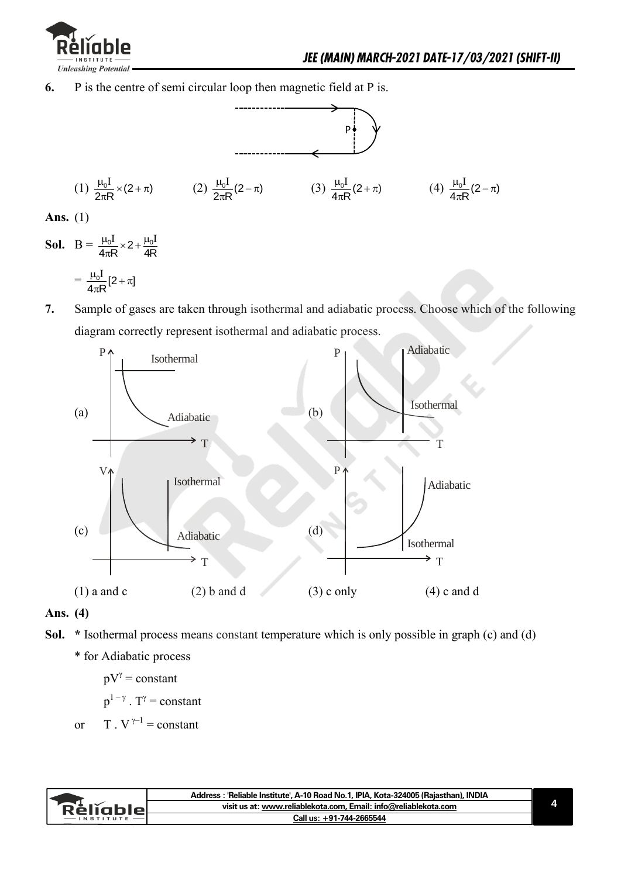

**6.** P is the centre of semi circular loop then magnetic field at P is.



**Ans.** (1)

**Sol.**  $B = \frac{\mu_0 I}{4\pi R} \times 2 + \frac{\mu_0 I}{4R}$  $rac{\mu_0 I}{4\pi R} \times 2 + \frac{\mu_0 I}{4R}$ 

$$
=\,\frac{\mu_0 I}{4\pi R}[2\!+\!\pi]
$$

**7.** Sample of gases are taken through isothermal and adiabatic process. Choose which of the following diagram correctly represent isothermal and adiabatic process.



#### **Ans. (4)**

- **Sol. \*** Isothermal process means constant temperature which is only possible in graph (c) and (d)
	- \* for Adiabatic process

$$
pV^{\gamma}
$$
 = constant  
\n $p^{1-\gamma}$ . T<sup>\gamma</sup> = constant  
\nor T. V<sup>\gamma-1</sup> = constant

|                  | Address: 'Reliable Institute', A-10 Road No.1, IPIA, Kota-324005 (Rajasthan), INDIA |  |
|------------------|-------------------------------------------------------------------------------------|--|
| e eljablel en el | visit us at: www.reliablekota.com, Email: info@reliablekota.com                     |  |
|                  | Call us: +91-744-2665544                                                            |  |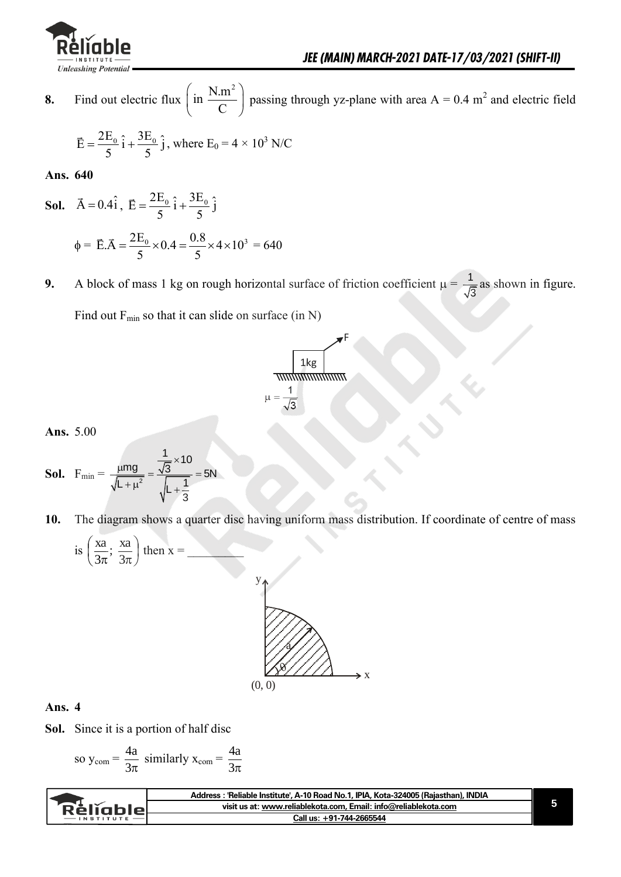

**8.** Find out electric flux  $\left(\text{in } \frac{N.m^2}{2}\right)$  $\left(\text{in } \frac{N.m^2}{C}\right)$  passing through yz-plane with area A = 0.4 m<sup>2</sup> and electric field

$$
\vec{E} = \frac{2E_0}{5} \hat{i} + \frac{3E_0}{5} \hat{j}
$$
, where  $E_0 = 4 \times 10^3$  N/C

**Ans. 640** 

- **Sol.**  $\vec{A} = 0.4\hat{i}$ ,  $\vec{E} = \frac{2E_0}{5}\hat{i} + \frac{3E_0}{5}\hat{j}$  $\frac{1}{5}$   $\frac{1}{5}$  $=\frac{2E_0}{5}\hat{i}+\frac{3}{5}$  $\phi = \vec{E} \cdot \vec{A} = \frac{2E_0}{5} \times 0.4 = \frac{0.8}{5} \times 4 \times 10^3$  $\frac{E_0}{5}$  × 0.4 =  $\frac{0.8}{5}$  $=\frac{2E_0}{5} \times 0.4 = \frac{0.8}{5} \times 4 \times 10^3 = 640$
- **9.** A block of mass 1 kg on rough horizontal surface of friction coefficient  $\mu = \frac{1}{6}$  $\frac{1}{3}$  as shown in figure.

Find out  $F_{min}$  so that it can slide on surface (in N)

$$
\frac{1 \text{ kg}}{\text{minimum}}
$$

yF

**Ans.** 5.00

**Sol.** 
$$
F_{\min} = \frac{\mu mg}{\sqrt{L + \mu^2}} = \frac{\frac{1}{\sqrt{3}} \times 10}{\sqrt{L + \frac{1}{3}}} = 5N
$$

**10.** The diagram shows a quarter disc having uniform mass distribution. If coordinate of centre of mass

is 
$$
\left(\frac{\text{xa}}{3\pi}; \frac{\text{xa}}{3\pi}\right)
$$
 then  $x =$ 



#### **Ans. 4**

**Sol.** Since it is a portion of half disc

so 
$$
y_{com} = \frac{4a}{3\pi}
$$
 similarly  $x_{com} = \frac{4a}{3\pi}$ 

| RěliableL | Address: 'Reliable Institute', A-10 Road No.1, IPIA, Kota-324005 (Rajasthan), INDIA |  |
|-----------|-------------------------------------------------------------------------------------|--|
|           | visit us at: www.reliablekota.com, Email: info@reliablekota.com                     |  |
|           | Call us: +91-744-2665544                                                            |  |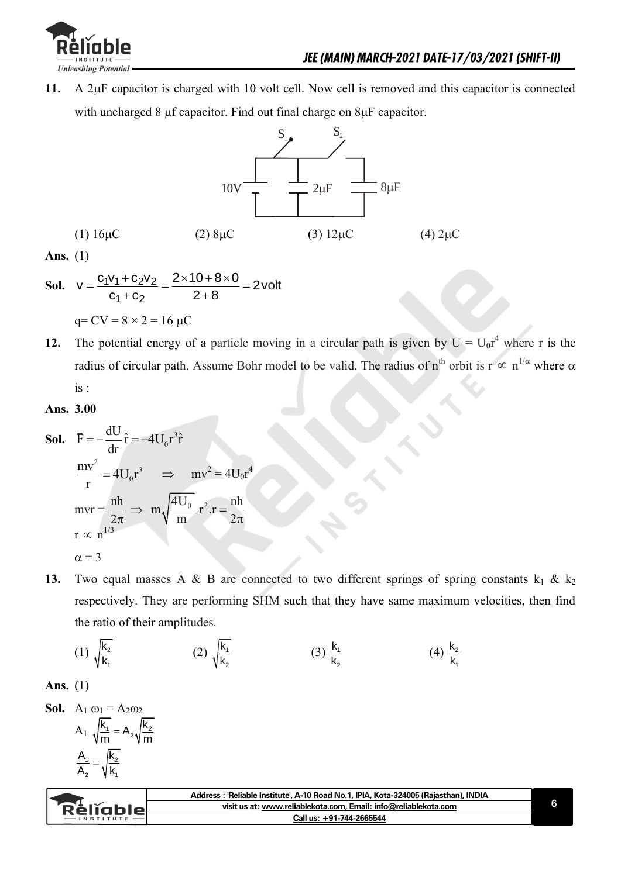

11. A 2µF capacitor is charged with 10 volt cell. Now cell is removed and this capacitor is connected with uncharged 8  $\mu$ f capacitor. Find out final charge on  $8\mu$ F capacitor.



**Ans.** (1)

**Ans.** (1)  
\n**Sol.** 
$$
v = \frac{c_1v_1 + c_2v_2}{c_1 + c_2} = \frac{2 \times 10 + 8 \times 0}{2 + 8} = 2 \text{ volt}
$$
  
\n $q = CV = 8 \times 2 = 16 \text{ }\mu\text{C}$ 

**12.** The potential energy of a particle moving in a circular path is given by  $U = U_0 r^4$  where r is the radius of circular path. Assume Bohr model to be valid. The radius of  $n^{th}$  orbit is  $r \propto n^{1/\alpha}$  where  $\alpha$ is :

#### **Ans. 3.00**

**Sol.** 
$$
\vec{F} = -\frac{dU}{dr}\hat{r} = -4U_0r^3\hat{r}
$$
  
\n $\frac{mv^2}{r} = 4U_0r^3 \implies mv^2 = 4U_0r^4$   
\n $mvr = \frac{nh}{2\pi} \implies m\sqrt{\frac{4U_0}{m}}r^2.r = \frac{nh}{2\pi}$   
\n $r \propto n^{1/3}$   
\n $\alpha = 3$ 

**13.** Two equal masses A & B are connected to two different springs of spring constants  $k_1 \& k_2$ respectively. They are performing SHM such that they have same maximum velocities, then find the ratio of their amplitudes.

(1) 
$$
\sqrt{\frac{k_2}{k_1}}
$$
 (2)  $\sqrt{\frac{k_1}{k_2}}$  (3)  $\frac{k_1}{k_2}$  (4)  $\frac{k_2}{k_1}$ 

**Ans.** (1)

**Sol.** 
$$
A_1 \omega_1 = A_2 \omega_2
$$
  
 $A_1 \sqrt{\frac{k_1}{m}} = A_2 \sqrt{\frac{k_2}{m}}$   
 $\frac{A_1}{A_2} = \sqrt{\frac{k_2}{k_1}}$ 

| Rèliable | Address : 'Reliable Institute', A-10 Road No.1, IPIA, Kota-324005 (Rajasthan), INDIA |  |
|----------|--------------------------------------------------------------------------------------|--|
|          | visit us at: www.reliablekota.com, Email: info@reliablekota.com                      |  |
|          | Call us: +91-744-2665544                                                             |  |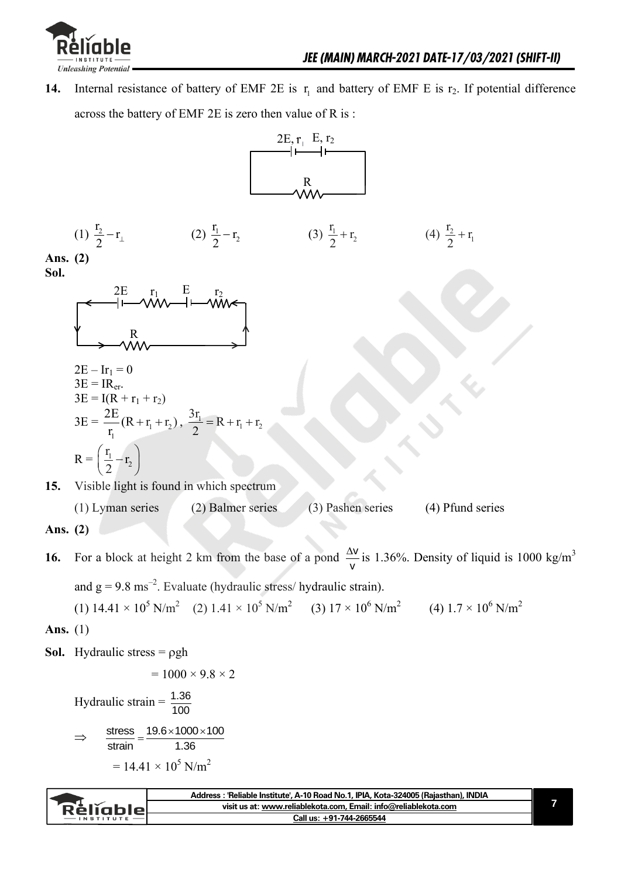

**14.** Internal resistance of battery of EMF 2E is  $r_1$  and battery of EMF E is  $r_2$ . If potential difference across the battery of EMF 2E is zero then value of R is :



|           | Address: 'Reliable Institute', A-10 Road No.1, IPIA, Kota-324005 (Rajasthan), INDIA |  |
|-----------|-------------------------------------------------------------------------------------|--|
| Réliablel | visit us at: www.reliablekota.com, Email: info@reliablekota.com                     |  |
|           | Call us: +91-744-2665544                                                            |  |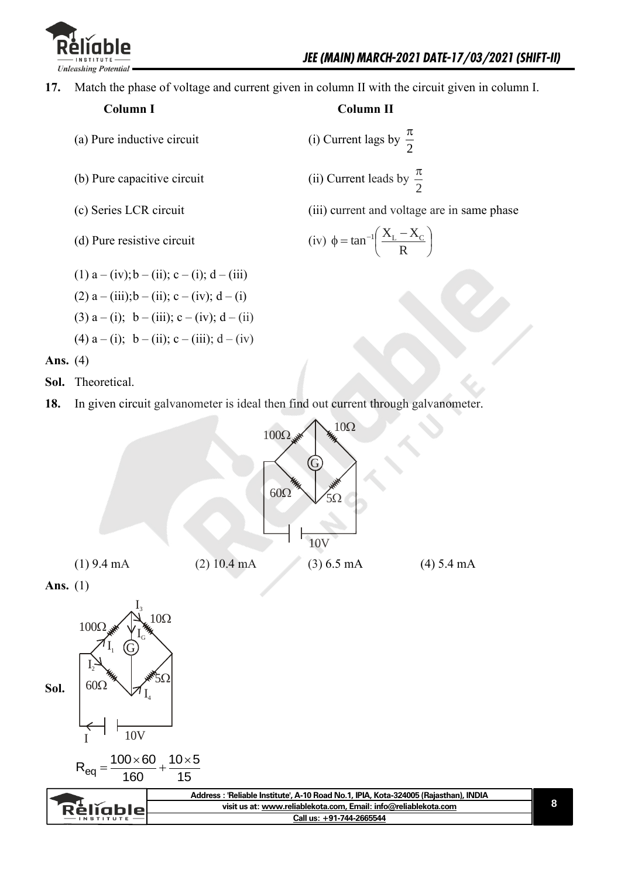

**17.** Match the phase of voltage and current given in column II with the circuit given in column I.

- (a) Pure inductive circuit
- $(b)$  Pure capacitive circuit
- 
- $(d)$  Pure resistive circuit

(1)  $a - (iv); b - (ii); c - (i); d - (iii)$ 

- (2)  $a (iii); b (ii); c (iv); d (i)$
- (3)  $a (i)$ ;  $b (iii)$ ;  $c (iv)$ ;  $d (ii)$
- (4)  $a (i)$ ;  $b (ii)$ ;  $c (iii)$ ;  $d (iv)$

 **Column I Column II** 

2  $\pi$ 

2  $\pi$ 

(c) Series LCR circuit (iii) current and voltage are in same phase

**8**

$$
(iv) \phi = \tan^{-1}\left(\frac{X_L - X_C}{R}\right)
$$

**Ans.** (4)

- **Sol.** Theoretical.
- **18.** In given circuit galvanometer is ideal then find out current through galvanometer.

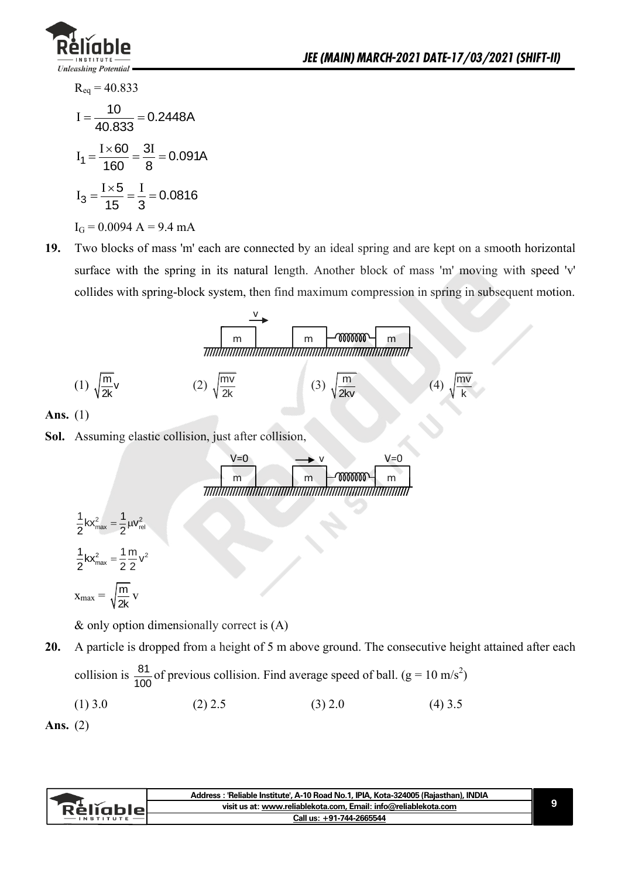

$$
R_{eq} = 40.833
$$
  
\n
$$
I = \frac{10}{40.833} = 0.2448A
$$
  
\n
$$
I_1 = \frac{I \times 60}{160} = \frac{3I}{8} = 0.091A
$$
  
\n
$$
I_3 = \frac{I \times 5}{15} = \frac{I}{3} = 0.0816
$$
  
\n
$$
I_G = 0.0094 A = 9.4 mA
$$

**19.** Two blocks of mass 'm' each are connected by an ideal spring and are kept on a smooth horizontal surface with the spring in its natural length. Another block of mass 'm' moving with speed 'v' collides with spring-block system, then find maximum compression in spring in subsequent motion.

$$
\frac{1}{\sqrt{\frac{m}{2k}}}
$$
\n
$$
(1) \sqrt{\frac{m}{2k}} \sqrt{\frac{m}{2k}}
$$
\n
$$
(2) \sqrt{\frac{m}{2k}}
$$
\n
$$
(3) \sqrt{\frac{m}{2k}} \sqrt{\frac{m}{2k}} \sqrt{\frac{4}{k}}
$$
\n
$$
(4) \sqrt{\frac{m}{k}}
$$

**Ans.** (1)

**Sol.** Assuming elastic collision, just after collision,

$$
\begin{array}{c}\n\sqrt{100} & \text{m} \\
\hline\n\end{array}
$$

$$
\frac{1}{2}kx_{\text{max}}^2 = \frac{1}{2}\mu v_{\text{rel}}^2
$$

$$
\frac{1}{2}kx_{\text{max}}^2 = \frac{1}{2}\frac{m}{2}v^2
$$

$$
x_{\text{max}} = \sqrt{\frac{m}{2k}}v
$$

& only option dimensionally correct is (A)

**20.** A particle is dropped from a height of 5 m above ground. The consecutive height attained after each collision is  $\frac{81}{120}$  $\frac{81}{100}$  of previous collision. Find average speed of ball. (g = 10 m/s<sup>2</sup>)

$$
(1) 3.0 \t(2) 2.5 \t(3) 2.0 \t(4) 3.5
$$

```
Ans. (2)
```

| Relighiel | Address: 'Reliable Institute', A-10 Road No.1, IPIA, Kota-324005 (Rajasthan), INDIA |  |
|-----------|-------------------------------------------------------------------------------------|--|
|           | visit us at: www.reliablekota.com. Email: info@reliablekota.com                     |  |
|           | Call us: +91-744-2665544                                                            |  |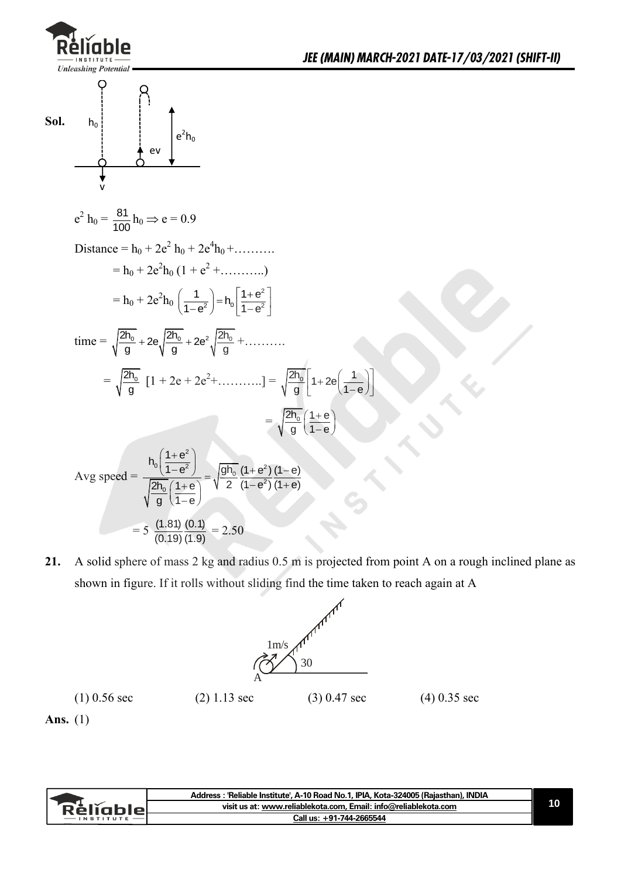

**21.** A solid sphere of mass 2 kg and radius 0.5 m is projected from point A on a rough inclined plane as shown in figure. If it rolls without sliding find the time taken to reach again at A



**Ans.** (1)

| <u>Rěliablel</u><br><b>INSTITUTE</b> | Address: 'Reliable Institute', A-10 Road No.1, IPIA, Kota-324005 (Rajasthan), INDIA |  |
|--------------------------------------|-------------------------------------------------------------------------------------|--|
|                                      | visit us at: www.reliablekota.com, Email: info@reliablekota.com                     |  |
|                                      | Call us: +91-744-2665544                                                            |  |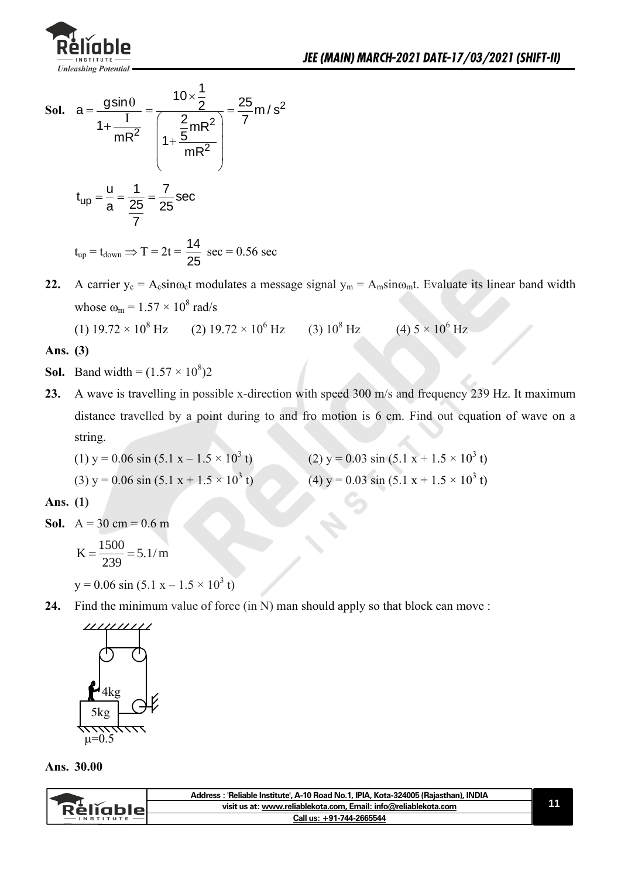

Sol. 
$$
a = \frac{gsin\theta}{1 + \frac{I}{mR^2}} = \frac{10 \times \frac{1}{2}}{1 + \frac{\frac{2}{5}mR^2}{mR^2}} = \frac{25}{7}m/s^2
$$

\n $t_{up} = \frac{u}{a} = \frac{1}{\frac{25}{7}} = \frac{7}{25}sec$ 

\n $t_{up} = t_{down} \Rightarrow T = 2t = \frac{14}{25} sec = 0.56 sec$ 

**22.** A carrier  $y_c = A_c \sin\omega_c t$  modulates a message signal  $y_m = A_m \sin\omega_m t$ . Evaluate its linear band width whose  $\omega_m = 1.57 \times 10^8$  rad/s

(1)  $19.72 \times 10^8$  Hz (2)  $19.72 \times 10^6$  Hz (3)  $10^8$  Hz (4)  $5 \times 10^6$  Hz

#### **Ans. (3)**

- **Sol.** Band width =  $(1.57 \times 10^8)2$
- **23.** A wave is travelling in possible x-direction with speed 300 m/s and frequency 239 Hz. It maximum distance travelled by a point during to and fro motion is 6 cm. Find out equation of wave on a string.

(1) 
$$
y = 0.06 \sin (5.1 x - 1.5 \times 10^3 t)
$$
 (2)  $y = 0.03 \sin (5.1 x + 1.5 \times 10^3 t)$ 

(3) 
$$
y = 0.06 \sin (5.1 x + 1.5 \times 10^3 t)
$$

(a) 
$$
y = 0.03 \sin(5.1 x + 1.5 \times 10^{3} t)
$$

\n(b) 
$$
(4) y = 0.03 \sin(5.1 x + 1.5 \times 10^{3} t)
$$

#### **Ans. (1)**

**Sol.**  $A = 30 \text{ cm} = 0.6 \text{ m}$ 

$$
K = \frac{1500}{239} = 5.1/m
$$

 $y = 0.06 \sin (5.1 x - 1.5 \times 10^3 t)$ 

**24.** Find the minimum value of force (in N) man should apply so that block can move :



**Ans. 30.00** 

| Kellahier | : 'Reliable Institute', A-10 Road No.1, IPIA, Kota-324005 (Rajasthan), INDIA<br>Address |  |
|-----------|-----------------------------------------------------------------------------------------|--|
|           | visit us at: www.reliablekota.com, Email: info@reliablekota.com                         |  |
|           | Call us: +91-744-2665544                                                                |  |